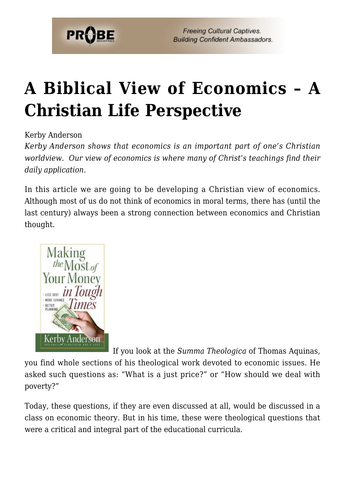

# **[A Biblical View of Economics – A](https://probe.org/a-biblical-view-of-economics/) [Christian Life Perspective](https://probe.org/a-biblical-view-of-economics/)**

Kerby Anderson

*Kerby Anderson shows that economics is an important part of one's Christian worldview. Our view of economics is where many of Christ's teachings find their daily application.*

In this article we are going to be developing a Christian view of economics. Although most of us do not think of economics in moral terms, there has (until the last century) always been a strong connection between economics and Christian thought.



If you look at the *Summa Theologica* of Thomas Aquinas,

you find whole sections of his theological work devoted to economic issues. He asked such questions as: "What is a just price?" or "How should we deal with poverty?"

Today, these questions, if they are even discussed at all, would be discussed in a class on economic theory. But in his time, these were theological questions that were a critical and integral part of the educational curricula.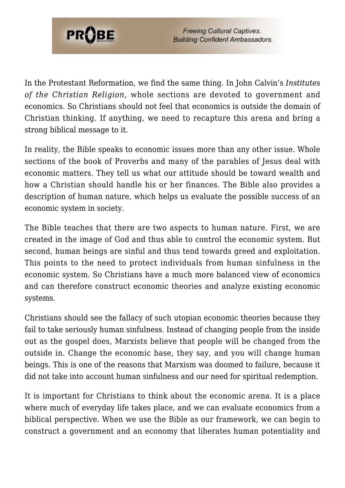

In the Protestant Reformation, we find the same thing. In John Calvin's *Institutes of the Christian Religion*, whole sections are devoted to government and economics. So Christians should not feel that economics is outside the domain of Christian thinking. If anything, we need to recapture this arena and bring a strong biblical message to it.

In reality, the Bible speaks to economic issues more than any other issue. Whole sections of the book of Proverbs and many of the parables of Jesus deal with economic matters. They tell us what our attitude should be toward wealth and how a Christian should handle his or her finances. The Bible also provides a description of human nature, which helps us evaluate the possible success of an economic system in society.

The Bible teaches that there are two aspects to human nature. First, we are created in the image of God and thus able to control the economic system. But second, human beings are sinful and thus tend towards greed and exploitation. This points to the need to protect individuals from human sinfulness in the economic system. So Christians have a much more balanced view of economics and can therefore construct economic theories and analyze existing economic systems.

Christians should see the fallacy of such utopian economic theories because they fail to take seriously human sinfulness. Instead of changing people from the inside out as the gospel does, Marxists believe that people will be changed from the outside in. Change the economic base, they say, and you will change human beings. This is one of the reasons that Marxism was doomed to failure, because it did not take into account human sinfulness and our need for spiritual redemption.

It is important for Christians to think about the economic arena. It is a place where much of everyday life takes place, and we can evaluate economics from a biblical perspective. When we use the Bible as our framework, we can begin to construct a government and an economy that liberates human potentiality and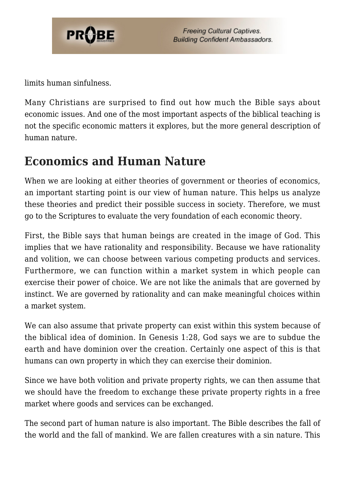

limits human sinfulness.

Many Christians are surprised to find out how much the Bible says about economic issues. And one of the most important aspects of the biblical teaching is not the specific economic matters it explores, but the more general description of human nature.

#### **Economics and Human Nature**

When we are looking at either theories of government or theories of economics, an important starting point is our view of human nature. This helps us analyze these theories and predict their possible success in society. Therefore, we must go to the Scriptures to evaluate the very foundation of each economic theory.

First, the Bible says that human beings are created in the image of God. This implies that we have rationality and responsibility. Because we have rationality and volition, we can choose between various competing products and services. Furthermore, we can function within a market system in which people can exercise their power of choice. We are not like the animals that are governed by instinct. We are governed by rationality and can make meaningful choices within a market system.

We can also assume that private property can exist within this system because of the biblical idea of dominion. In Genesis 1:28, God says we are to subdue the earth and have dominion over the creation. Certainly one aspect of this is that humans can own property in which they can exercise their dominion.

Since we have both volition and private property rights, we can then assume that we should have the freedom to exchange these private property rights in a free market where goods and services can be exchanged.

The second part of human nature is also important. The Bible describes the fall of the world and the fall of mankind. We are fallen creatures with a sin nature. This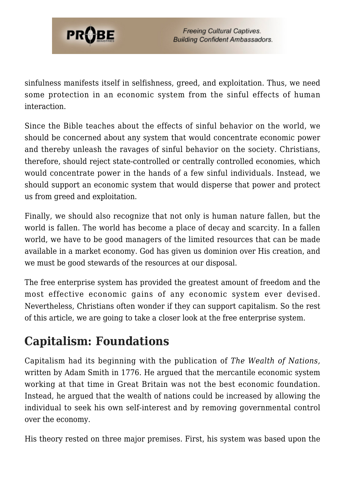

sinfulness manifests itself in selfishness, greed, and exploitation. Thus, we need some protection in an economic system from the sinful effects of human interaction.

Since the Bible teaches about the effects of sinful behavior on the world, we should be concerned about any system that would concentrate economic power and thereby unleash the ravages of sinful behavior on the society. Christians, therefore, should reject state-controlled or centrally controlled economies, which would concentrate power in the hands of a few sinful individuals. Instead, we should support an economic system that would disperse that power and protect us from greed and exploitation.

Finally, we should also recognize that not only is human nature fallen, but the world is fallen. The world has become a place of decay and scarcity. In a fallen world, we have to be good managers of the limited resources that can be made available in a market economy. God has given us dominion over His creation, and we must be good stewards of the resources at our disposal.

The free enterprise system has provided the greatest amount of freedom and the most effective economic gains of any economic system ever devised. Nevertheless, Christians often wonder if they can support capitalism. So the rest of this article, we are going to take a closer look at the free enterprise system.

### **Capitalism: Foundations**

Capitalism had its beginning with the publication of *The Wealth of Nations,* written by Adam Smith in 1776. He argued that the mercantile economic system working at that time in Great Britain was not the best economic foundation. Instead, he argued that the wealth of nations could be increased by allowing the individual to seek his own self-interest and by removing governmental control over the economy.

His theory rested on three major premises. First, his system was based upon the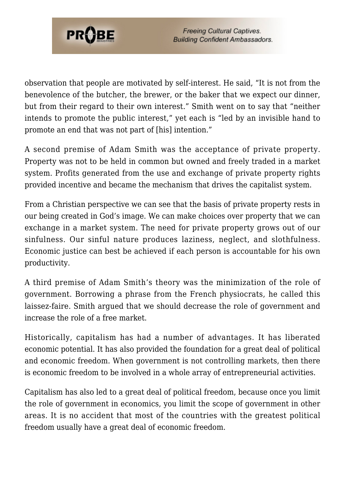

observation that people are motivated by self-interest. He said, "It is not from the benevolence of the butcher, the brewer, or the baker that we expect our dinner, but from their regard to their own interest." Smith went on to say that "neither intends to promote the public interest," yet each is "led by an invisible hand to promote an end that was not part of [his] intention."

A second premise of Adam Smith was the acceptance of private property. Property was not to be held in common but owned and freely traded in a market system. Profits generated from the use and exchange of private property rights provided incentive and became the mechanism that drives the capitalist system.

From a Christian perspective we can see that the basis of private property rests in our being created in God's image. We can make choices over property that we can exchange in a market system. The need for private property grows out of our sinfulness. Our sinful nature produces laziness, neglect, and slothfulness. Economic justice can best be achieved if each person is accountable for his own productivity.

A third premise of Adam Smith's theory was the minimization of the role of government. Borrowing a phrase from the French physiocrats, he called this laissez-faire. Smith argued that we should decrease the role of government and increase the role of a free market.

Historically, capitalism has had a number of advantages. It has liberated economic potential. It has also provided the foundation for a great deal of political and economic freedom. When government is not controlling markets, then there is economic freedom to be involved in a whole array of entrepreneurial activities.

Capitalism has also led to a great deal of political freedom, because once you limit the role of government in economics, you limit the scope of government in other areas. It is no accident that most of the countries with the greatest political freedom usually have a great deal of economic freedom.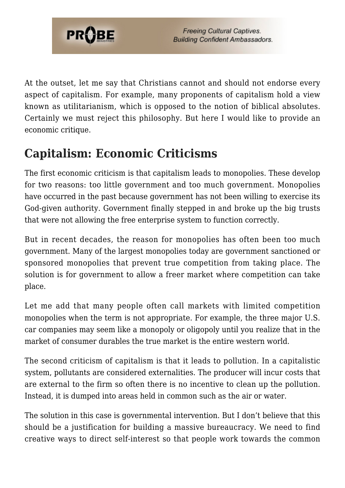

At the outset, let me say that Christians cannot and should not endorse every aspect of capitalism. For example, many proponents of capitalism hold a view known as utilitarianism, which is opposed to the notion of biblical absolutes. Certainly we must reject this philosophy. But here I would like to provide an economic critique.

## **Capitalism: Economic Criticisms**

The first economic criticism is that capitalism leads to monopolies. These develop for two reasons: too little government and too much government. Monopolies have occurred in the past because government has not been willing to exercise its God-given authority. Government finally stepped in and broke up the big trusts that were not allowing the free enterprise system to function correctly.

But in recent decades, the reason for monopolies has often been too much government. Many of the largest monopolies today are government sanctioned or sponsored monopolies that prevent true competition from taking place. The solution is for government to allow a freer market where competition can take place.

Let me add that many people often call markets with limited competition monopolies when the term is not appropriate. For example, the three major U.S. car companies may seem like a monopoly or oligopoly until you realize that in the market of consumer durables the true market is the entire western world.

The second criticism of capitalism is that it leads to pollution. In a capitalistic system, pollutants are considered externalities. The producer will incur costs that are external to the firm so often there is no incentive to clean up the pollution. Instead, it is dumped into areas held in common such as the air or water.

The solution in this case is governmental intervention. But I don't believe that this should be a justification for building a massive bureaucracy. We need to find creative ways to direct self-interest so that people work towards the common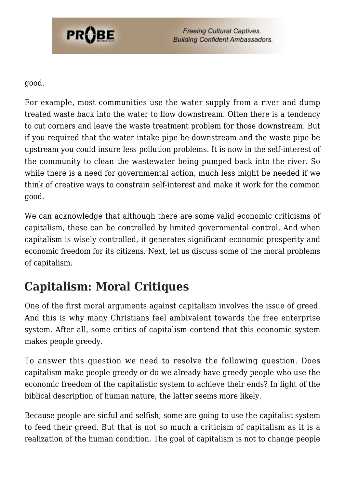

good.

For example, most communities use the water supply from a river and dump treated waste back into the water to flow downstream. Often there is a tendency to cut corners and leave the waste treatment problem for those downstream. But if you required that the water intake pipe be downstream and the waste pipe be upstream you could insure less pollution problems. It is now in the self-interest of the community to clean the wastewater being pumped back into the river. So while there is a need for governmental action, much less might be needed if we think of creative ways to constrain self-interest and make it work for the common good.

We can acknowledge that although there are some valid economic criticisms of capitalism, these can be controlled by limited governmental control. And when capitalism is wisely controlled, it generates significant economic prosperity and economic freedom for its citizens. Next, let us discuss some of the moral problems of capitalism.

## **Capitalism: Moral Critiques**

One of the first moral arguments against capitalism involves the issue of greed. And this is why many Christians feel ambivalent towards the free enterprise system. After all, some critics of capitalism contend that this economic system makes people greedy.

To answer this question we need to resolve the following question. Does capitalism make people greedy or do we already have greedy people who use the economic freedom of the capitalistic system to achieve their ends? In light of the biblical description of human nature, the latter seems more likely.

Because people are sinful and selfish, some are going to use the capitalist system to feed their greed. But that is not so much a criticism of capitalism as it is a realization of the human condition. The goal of capitalism is not to change people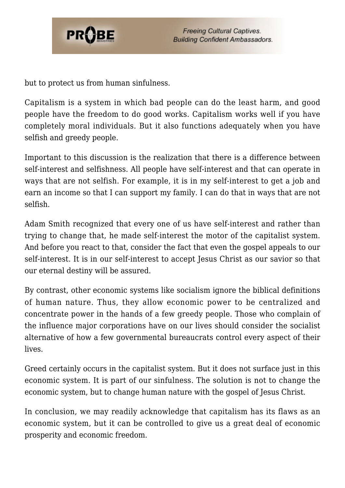

but to protect us from human sinfulness.

Capitalism is a system in which bad people can do the least harm, and good people have the freedom to do good works. Capitalism works well if you have completely moral individuals. But it also functions adequately when you have selfish and greedy people.

Important to this discussion is the realization that there is a difference between self-interest and selfishness. All people have self-interest and that can operate in ways that are not selfish. For example, it is in my self-interest to get a job and earn an income so that I can support my family. I can do that in ways that are not selfish.

Adam Smith recognized that every one of us have self-interest and rather than trying to change that, he made self-interest the motor of the capitalist system. And before you react to that, consider the fact that even the gospel appeals to our self-interest. It is in our self-interest to accept Jesus Christ as our savior so that our eternal destiny will be assured.

By contrast, other economic systems like socialism ignore the biblical definitions of human nature. Thus, they allow economic power to be centralized and concentrate power in the hands of a few greedy people. Those who complain of the influence major corporations have on our lives should consider the socialist alternative of how a few governmental bureaucrats control every aspect of their lives.

Greed certainly occurs in the capitalist system. But it does not surface just in this economic system. It is part of our sinfulness. The solution is not to change the economic system, but to change human nature with the gospel of Jesus Christ.

In conclusion, we may readily acknowledge that capitalism has its flaws as an economic system, but it can be controlled to give us a great deal of economic prosperity and economic freedom.